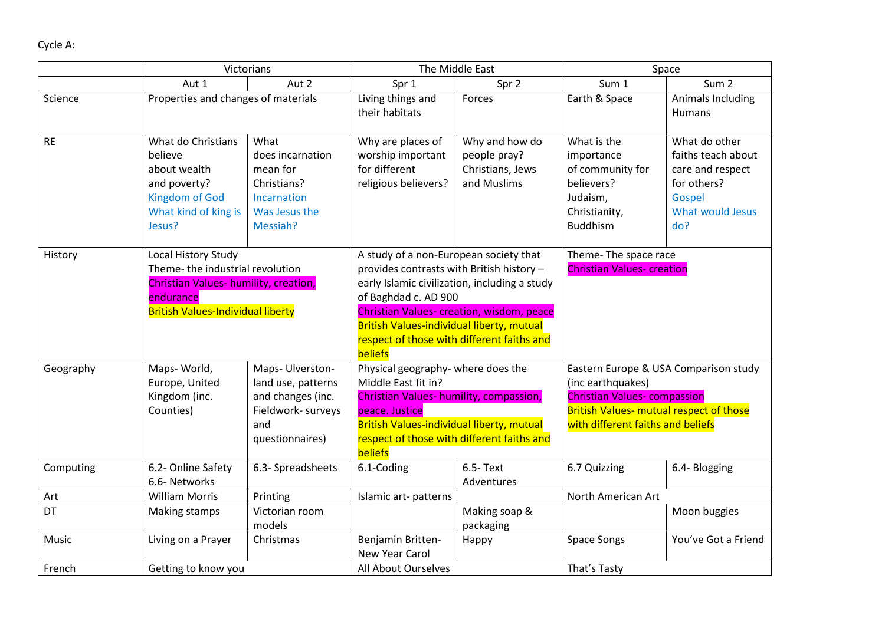|           | Victorians                                                                                                                                                                 |                                                                                                 | The Middle East                                                                                                                                                                                                                                                                                                        |                                                                   | Space                                                                                                                                                                                    |                                                                                                             |
|-----------|----------------------------------------------------------------------------------------------------------------------------------------------------------------------------|-------------------------------------------------------------------------------------------------|------------------------------------------------------------------------------------------------------------------------------------------------------------------------------------------------------------------------------------------------------------------------------------------------------------------------|-------------------------------------------------------------------|------------------------------------------------------------------------------------------------------------------------------------------------------------------------------------------|-------------------------------------------------------------------------------------------------------------|
|           | Aut 2<br>Aut 1                                                                                                                                                             |                                                                                                 | Spr 1<br>Spr 2                                                                                                                                                                                                                                                                                                         |                                                                   | Sum 1<br>Sum <sub>2</sub>                                                                                                                                                                |                                                                                                             |
| Science   | Properties and changes of materials                                                                                                                                        |                                                                                                 | Living things and<br>their habitats                                                                                                                                                                                                                                                                                    | Forces                                                            | Earth & Space                                                                                                                                                                            | Animals Including<br>Humans                                                                                 |
| <b>RE</b> | What do Christians<br>believe<br>about wealth<br>and poverty?<br><b>Kingdom of God</b><br>What kind of king is<br>Jesus?                                                   | What<br>does incarnation<br>mean for<br>Christians?<br>Incarnation<br>Was Jesus the<br>Messiah? | Why are places of<br>worship important<br>for different<br>religious believers?                                                                                                                                                                                                                                        | Why and how do<br>people pray?<br>Christians, Jews<br>and Muslims | What is the<br>importance<br>of community for<br>believers?<br>Judaism,<br>Christianity,<br><b>Buddhism</b>                                                                              | What do other<br>faiths teach about<br>care and respect<br>for others?<br>Gospel<br>What would Jesus<br>do? |
| History   | Local History Study<br>Theme-the industrial revolution<br>Christian Values- humility, creation,<br>endurance<br><b>British Values-Individual liberty</b>                   |                                                                                                 | A study of a non-European society that<br>provides contrasts with British history -<br>early Islamic civilization, including a study<br>of Baghdad c. AD 900<br>Christian Values- creation, wisdom, peace<br><b>British Values-individual liberty, mutual</b><br>respect of those with different faiths and<br>beliefs |                                                                   | Theme- The space race<br><b>Christian Values- creation</b>                                                                                                                               |                                                                                                             |
| Geography | Maps-World,<br>Maps- Ulverston-<br>Europe, United<br>land use, patterns<br>and changes (inc.<br>Kingdom (inc.<br>Counties)<br>Fieldwork- surveys<br>and<br>questionnaires) |                                                                                                 | Physical geography- where does the<br>Middle East fit in?<br>Christian Values- humility, compassion,<br>peace. Justice<br>British Values-individual liberty, mutual<br>respect of those with different faiths and<br>beliefs                                                                                           |                                                                   | Eastern Europe & USA Comparison study<br>(inc earthquakes)<br><b>Christian Values- compassion</b><br><b>British Values- mutual respect of those</b><br>with different faiths and beliefs |                                                                                                             |
| Computing | 6.2- Online Safety<br>6.6- Networks                                                                                                                                        | 6.3- Spreadsheets                                                                               | 6.1-Coding                                                                                                                                                                                                                                                                                                             | 6.5- Text<br>Adventures                                           | 6.7 Quizzing                                                                                                                                                                             | 6.4- Blogging                                                                                               |
| Art       | <b>William Morris</b>                                                                                                                                                      | Printing                                                                                        | Islamic art-patterns                                                                                                                                                                                                                                                                                                   |                                                                   | North American Art                                                                                                                                                                       |                                                                                                             |
| DT        | Making stamps                                                                                                                                                              | Victorian room<br>models                                                                        |                                                                                                                                                                                                                                                                                                                        | Making soap &<br>packaging                                        |                                                                                                                                                                                          | Moon buggies                                                                                                |
| Music     | Living on a Prayer                                                                                                                                                         | Christmas                                                                                       | Benjamin Britten-<br>New Year Carol                                                                                                                                                                                                                                                                                    | Happy                                                             | <b>Space Songs</b>                                                                                                                                                                       | You've Got a Friend                                                                                         |
| French    | Getting to know you                                                                                                                                                        |                                                                                                 | All About Ourselves                                                                                                                                                                                                                                                                                                    |                                                                   | That's Tasty                                                                                                                                                                             |                                                                                                             |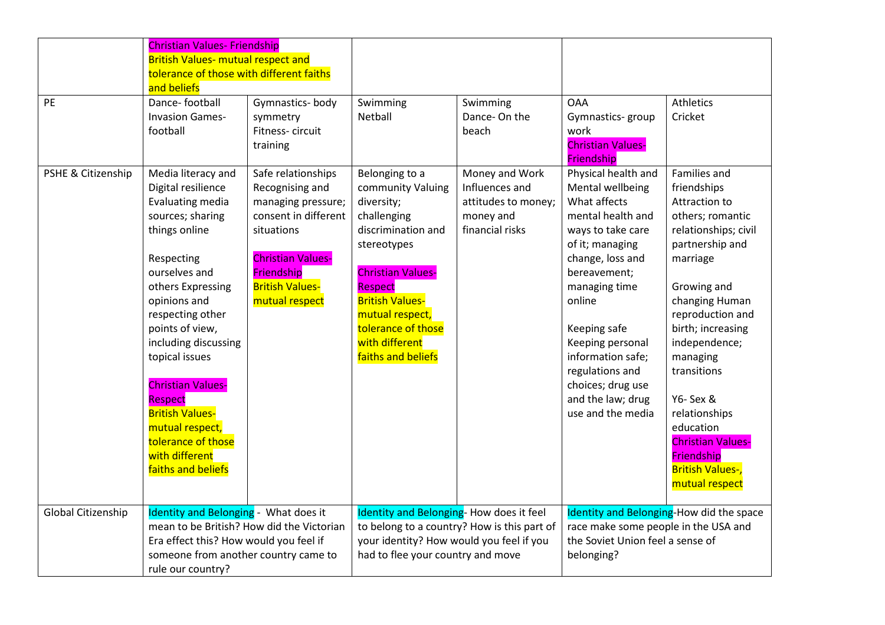| PE                 | <b>Christian Values- Friendship</b><br><b>British Values- mutual respect and</b><br>tolerance of those with different faiths<br>and beliefs<br>Dance-football                                                                                                                                                                                                                                            | Gymnastics-body                                                                                                                                                                         | Swimming                                                                                                                                                                                                                                                       | Swimming                                                                                | <b>OAA</b>                                                                                                                                                                                                                                                                                                                     | Athletics                                                                                                                                                                                                                                                                                                                                                                       |
|--------------------|----------------------------------------------------------------------------------------------------------------------------------------------------------------------------------------------------------------------------------------------------------------------------------------------------------------------------------------------------------------------------------------------------------|-----------------------------------------------------------------------------------------------------------------------------------------------------------------------------------------|----------------------------------------------------------------------------------------------------------------------------------------------------------------------------------------------------------------------------------------------------------------|-----------------------------------------------------------------------------------------|--------------------------------------------------------------------------------------------------------------------------------------------------------------------------------------------------------------------------------------------------------------------------------------------------------------------------------|---------------------------------------------------------------------------------------------------------------------------------------------------------------------------------------------------------------------------------------------------------------------------------------------------------------------------------------------------------------------------------|
|                    | <b>Invasion Games-</b><br>football                                                                                                                                                                                                                                                                                                                                                                       | symmetry<br>Fitness-circuit<br>training                                                                                                                                                 | Netball                                                                                                                                                                                                                                                        | Dance-On the<br>beach                                                                   | Gymnastics- group<br>work<br><b>Christian Values-</b><br>Friendship                                                                                                                                                                                                                                                            | Cricket                                                                                                                                                                                                                                                                                                                                                                         |
| PSHE & Citizenship | Media literacy and<br>Digital resilience<br>Evaluating media<br>sources; sharing<br>things online<br>Respecting<br>ourselves and<br>others Expressing<br>opinions and<br>respecting other<br>points of view,<br>including discussing<br>topical issues<br><b>Christian Values-</b><br>Respect<br><b>British Values-</b><br>mutual respect,<br>tolerance of those<br>with different<br>faiths and beliefs | Safe relationships<br>Recognising and<br>managing pressure;<br>consent in different<br>situations<br><b>Christian Values-</b><br>Friendship<br><b>British Values-</b><br>mutual respect | Belonging to a<br>community Valuing<br>diversity;<br>challenging<br>discrimination and<br>stereotypes<br><b>Christian Values-</b><br><b>Respect</b><br><b>British Values-</b><br>mutual respect,<br>tolerance of those<br>with different<br>faiths and beliefs | Money and Work<br>Influences and<br>attitudes to money;<br>money and<br>financial risks | Physical health and<br>Mental wellbeing<br>What affects<br>mental health and<br>ways to take care<br>of it; managing<br>change, loss and<br>bereavement;<br>managing time<br>online<br>Keeping safe<br>Keeping personal<br>information safe;<br>regulations and<br>choices; drug use<br>and the law; drug<br>use and the media | Families and<br>friendships<br>Attraction to<br>others; romantic<br>relationships; civil<br>partnership and<br>marriage<br>Growing and<br>changing Human<br>reproduction and<br>birth; increasing<br>independence;<br>managing<br>transitions<br>Y6- Sex &<br>relationships<br>education<br><b>Christian Values-</b><br>Friendship<br><b>British Values-,</b><br>mutual respect |
| Global Citizenship | Identity and Belonging - What does it<br>mean to be British? How did the Victorian<br>Era effect this? How would you feel if<br>someone from another country came to<br>rule our country?                                                                                                                                                                                                                |                                                                                                                                                                                         | Identity and Belonging- How does it feel<br>to belong to a country? How is this part of<br>your identity? How would you feel if you<br>had to flee your country and move                                                                                       |                                                                                         | Identity and Belonging-How did the space<br>race make some people in the USA and<br>the Soviet Union feel a sense of<br>belonging?                                                                                                                                                                                             |                                                                                                                                                                                                                                                                                                                                                                                 |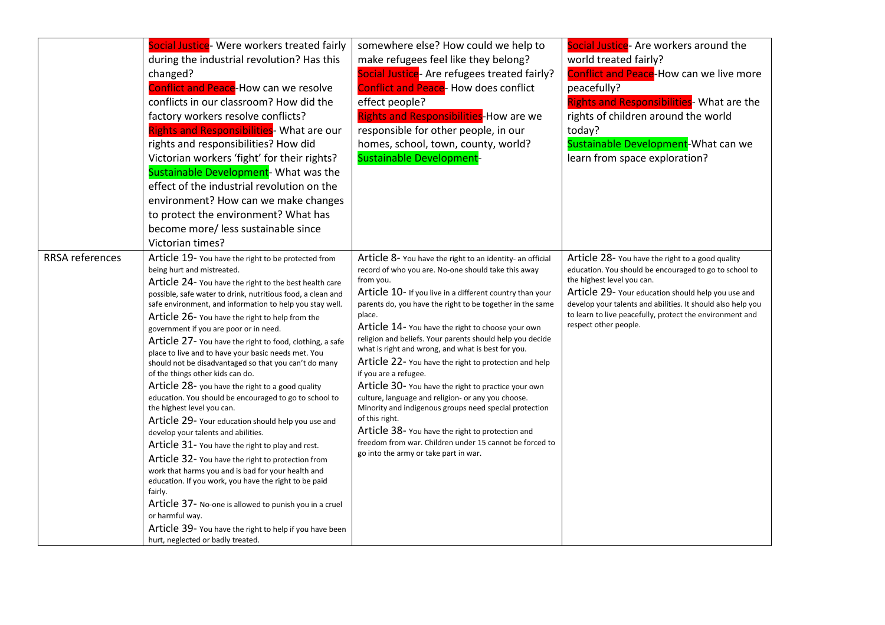|                        | Social Justice- Were workers treated fairly<br>during the industrial revolution? Has this<br>changed?<br><b>Conflict and Peace-How can we resolve</b><br>conflicts in our classroom? How did the<br>factory workers resolve conflicts?<br><b>Rights and Responsibilities</b> - What are our<br>rights and responsibilities? How did<br>Victorian workers 'fight' for their rights?<br>Sustainable Development- What was the<br>effect of the industrial revolution on the<br>environment? How can we make changes<br>to protect the environment? What has<br>become more/ less sustainable since<br>Victorian times?                                                                                                                                                                                                                                                                                                                                                                                                                                                                                                                                                                                                                         | somewhere else? How could we help to<br>make refugees feel like they belong?<br>Social Justice- Are refugees treated fairly?<br><b>Conflict and Peace- How does conflict</b><br>effect people?<br><b>Rights and Responsibilities-How are we</b><br>responsible for other people, in our<br>homes, school, town, county, world?<br>Sustainable Development-                                                                                                                                                                                                                                                                                                                                                                                                                                                                                                                  | Social Justice- Are workers around the<br>world treated fairly?<br>Conflict and Peace-How can we live more<br>peacefully?<br><b>Rights and Responsibilities- What are the</b><br>rights of children around the world<br>today?<br>Sustainable Development-What can we<br>learn from space exploration?                                             |
|------------------------|----------------------------------------------------------------------------------------------------------------------------------------------------------------------------------------------------------------------------------------------------------------------------------------------------------------------------------------------------------------------------------------------------------------------------------------------------------------------------------------------------------------------------------------------------------------------------------------------------------------------------------------------------------------------------------------------------------------------------------------------------------------------------------------------------------------------------------------------------------------------------------------------------------------------------------------------------------------------------------------------------------------------------------------------------------------------------------------------------------------------------------------------------------------------------------------------------------------------------------------------|-----------------------------------------------------------------------------------------------------------------------------------------------------------------------------------------------------------------------------------------------------------------------------------------------------------------------------------------------------------------------------------------------------------------------------------------------------------------------------------------------------------------------------------------------------------------------------------------------------------------------------------------------------------------------------------------------------------------------------------------------------------------------------------------------------------------------------------------------------------------------------|----------------------------------------------------------------------------------------------------------------------------------------------------------------------------------------------------------------------------------------------------------------------------------------------------------------------------------------------------|
| <b>RRSA</b> references | Article 19- You have the right to be protected from<br>being hurt and mistreated.<br>Article 24- You have the right to the best health care<br>possible, safe water to drink, nutritious food, a clean and<br>safe environment, and information to help you stay well.<br>Article 26- You have the right to help from the<br>government if you are poor or in need.<br>Article 27- You have the right to food, clothing, a safe<br>place to live and to have your basic needs met. You<br>should not be disadvantaged so that you can't do many<br>of the things other kids can do.<br>Article 28- you have the right to a good quality<br>education. You should be encouraged to go to school to<br>the highest level you can.<br>Article 29- Your education should help you use and<br>develop your talents and abilities.<br>Article 31- You have the right to play and rest.<br>Article 32- You have the right to protection from<br>work that harms you and is bad for your health and<br>education. If you work, you have the right to be paid<br>fairly.<br>Article 37- No-one is allowed to punish you in a cruel<br>or harmful way.<br>Article 39- You have the right to help if you have been<br>hurt, neglected or badly treated. | Article 8- You have the right to an identity- an official<br>record of who you are. No-one should take this away<br>from you.<br>Article 10- If you live in a different country than your<br>parents do, you have the right to be together in the same<br>place.<br>Article 14- You have the right to choose your own<br>religion and beliefs. Your parents should help you decide<br>what is right and wrong, and what is best for you.<br>Article 22- You have the right to protection and help<br>if you are a refugee.<br>Article 30- You have the right to practice your own<br>culture, language and religion- or any you choose.<br>Minority and indigenous groups need special protection<br>of this right.<br>Article 38- You have the right to protection and<br>freedom from war. Children under 15 cannot be forced to<br>go into the army or take part in war. | Article 28- You have the right to a good quality<br>education. You should be encouraged to go to school to<br>the highest level you can.<br>Article 29- Your education should help you use and<br>develop your talents and abilities. It should also help you<br>to learn to live peacefully, protect the environment and<br>respect other people. |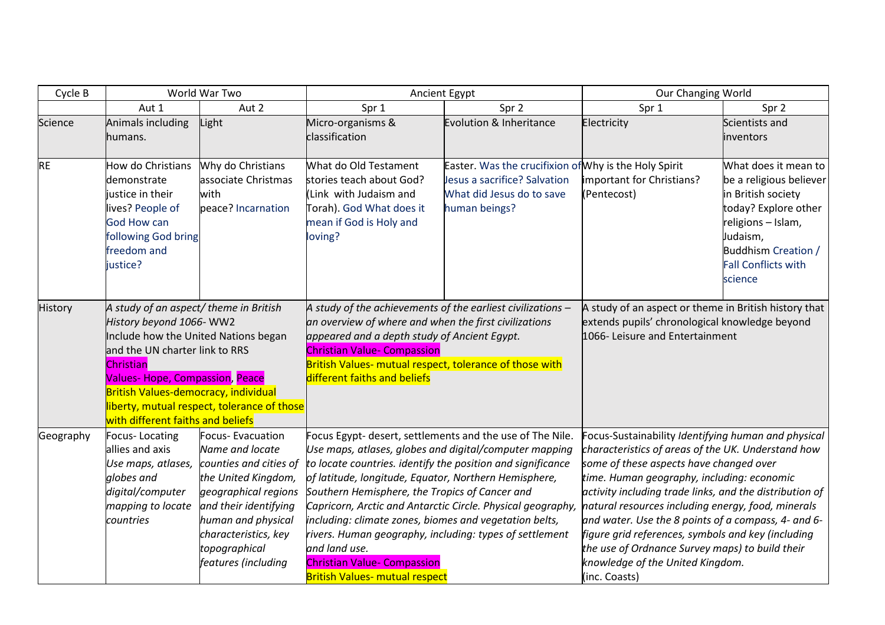| Cycle B        | World War Two                                                                        |                                               |                                                                                                               | Ancient Egypt                                         | Our Changing World                                                                                            |                                            |
|----------------|--------------------------------------------------------------------------------------|-----------------------------------------------|---------------------------------------------------------------------------------------------------------------|-------------------------------------------------------|---------------------------------------------------------------------------------------------------------------|--------------------------------------------|
|                | Aut 1                                                                                | Aut 2                                         | Spr 1                                                                                                         | Spr 2                                                 | Spr 1                                                                                                         | Spr 2                                      |
| <b>Science</b> | Animals including                                                                    | Light                                         | Micro-organisms &                                                                                             | Evolution & Inheritance                               | Electricity                                                                                                   | Scientists and                             |
|                | humans.                                                                              |                                               | classification                                                                                                |                                                       |                                                                                                               | inventors                                  |
| <b>RE</b>      | How do Christians                                                                    | Why do Christians                             | What do Old Testament                                                                                         | Easter. Was the crucifixion of Why is the Holy Spirit |                                                                                                               | What does it mean to                       |
|                | demonstrate                                                                          | associate Christmas                           | stories teach about God?                                                                                      | Jesus a sacrifice? Salvation                          | important for Christians?                                                                                     | be a religious believer                    |
|                | justice in their<br>lives? People of                                                 | with<br>peace? Incarnation                    | (Link with Judaism and<br>Torah). God What does it                                                            | What did Jesus do to save<br>human beings?            | (Pentecost)                                                                                                   | in British society<br>today? Explore other |
|                | <b>God How can</b>                                                                   |                                               | mean if God is Holy and                                                                                       |                                                       |                                                                                                               | religions - Islam,                         |
|                | following God bring                                                                  |                                               | loving?                                                                                                       |                                                       |                                                                                                               | Judaism,                                   |
|                | freedom and                                                                          |                                               |                                                                                                               |                                                       |                                                                                                               | Buddhism Creation /                        |
|                | justice?                                                                             |                                               |                                                                                                               |                                                       |                                                                                                               | <b>Fall Conflicts with</b>                 |
|                |                                                                                      |                                               |                                                                                                               |                                                       |                                                                                                               | science                                    |
| History        | A study of an aspect/ theme in British                                               |                                               | A study of the achievements of the earliest civilizations $-$                                                 |                                                       | A study of an aspect or theme in British history that                                                         |                                            |
|                | History beyond 1066-WW2                                                              |                                               | an overview of where and when the first civilizations                                                         |                                                       | extends pupils' chronological knowledge beyond                                                                |                                            |
|                | Include how the United Nations began                                                 |                                               | appeared and a depth study of Ancient Egypt.                                                                  |                                                       | 1066- Leisure and Entertainment                                                                               |                                            |
|                | and the UN charter link to RRS                                                       |                                               | <b>Christian Value- Compassion</b>                                                                            |                                                       |                                                                                                               |                                            |
|                | Christian                                                                            |                                               | British Values- mutual respect, tolerance of those with<br>different faiths and beliefs                       |                                                       |                                                                                                               |                                            |
|                | <b>Values-Hope, Compassion, Peace</b><br><b>British Values-democracy, individual</b> |                                               |                                                                                                               |                                                       |                                                                                                               |                                            |
|                |                                                                                      | liberty, mutual respect, tolerance of those   |                                                                                                               |                                                       |                                                                                                               |                                            |
|                | with different faiths and beliefs                                                    |                                               |                                                                                                               |                                                       |                                                                                                               |                                            |
| Geography      | Focus-Locating                                                                       | Focus-Evacuation                              | Focus Egypt- desert, settlements and the use of The Nile.                                                     |                                                       | Focus-Sustainability Identifying human and physical                                                           |                                            |
|                | allies and axis                                                                      | Name and locate                               | Use maps, atlases, globes and digital/computer mapping                                                        |                                                       | characteristics of areas of the UK. Understand how                                                            |                                            |
|                | Use maps, atlases,                                                                   | counties and cities of                        | to locate countries. identify the position and significance                                                   |                                                       | some of these aspects have changed over                                                                       |                                            |
|                | globes and                                                                           | the United Kingdom,                           | of latitude, longitude, Equator, Northern Hemisphere,                                                         |                                                       | time. Human geography, including: economic                                                                    |                                            |
|                | digital/computer<br>mapping to locate                                                | geographical regions<br>and their identifying | Southern Hemisphere, the Tropics of Cancer and<br>Capricorn, Arctic and Antarctic Circle. Physical geography, |                                                       | activity including trade links, and the distribution of<br>natural resources including energy, food, minerals |                                            |
|                | countries                                                                            | human and physical                            | including: climate zones, biomes and vegetation belts,                                                        |                                                       | and water. Use the 8 points of a compass, 4- and 6-                                                           |                                            |
|                |                                                                                      | characteristics, key                          | rivers. Human geography, including: types of settlement                                                       |                                                       | figure grid references, symbols and key (including                                                            |                                            |
|                |                                                                                      | topographical                                 | and land use.                                                                                                 |                                                       | the use of Ordnance Survey maps) to build their                                                               |                                            |
|                |                                                                                      | features (including                           | <b>Christian Value- Compassion</b>                                                                            |                                                       | knowledge of the United Kingdom.                                                                              |                                            |
|                |                                                                                      |                                               | <b>British Values- mutual respect</b>                                                                         |                                                       | (inc. Coasts)                                                                                                 |                                            |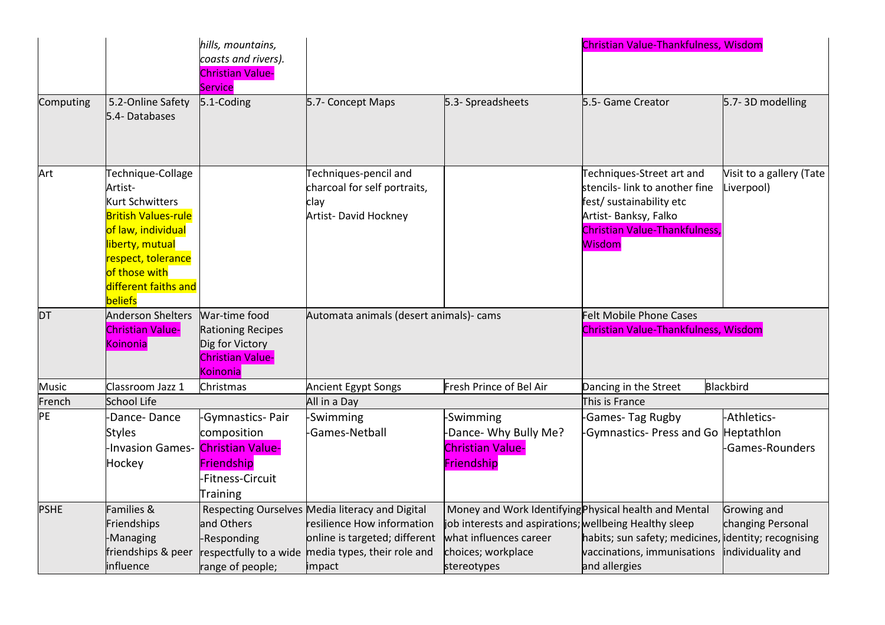|              |                                    | hills, mountains,                           |                                                 |                                                        | Christian Value-Thankfulness, Wisdom                 |                          |
|--------------|------------------------------------|---------------------------------------------|-------------------------------------------------|--------------------------------------------------------|------------------------------------------------------|--------------------------|
|              |                                    | coasts and rivers).                         |                                                 |                                                        |                                                      |                          |
|              |                                    | <b>Christian Value-</b>                     |                                                 |                                                        |                                                      |                          |
|              |                                    | <b>Service</b>                              |                                                 |                                                        | 5.5- Game Creator                                    |                          |
| Computing    | 5.2-Online Safety<br>5.4-Databases | 5.1-Coding                                  | 5.7- Concept Maps                               | 5.3- Spreadsheets                                      |                                                      | 5.7-3D modelling         |
|              |                                    |                                             |                                                 |                                                        |                                                      |                          |
|              |                                    |                                             |                                                 |                                                        |                                                      |                          |
|              |                                    |                                             |                                                 |                                                        |                                                      |                          |
| Art          | Technique-Collage                  |                                             | Techniques-pencil and                           |                                                        | Techniques-Street art and                            | Visit to a gallery (Tate |
|              | Artist-                            |                                             | charcoal for self portraits,                    |                                                        | stencils- link to another fine                       | Liverpool)               |
|              | <b>Kurt Schwitters</b>             |                                             | clay                                            |                                                        | fest/ sustainability etc                             |                          |
|              | <b>British Values-rule</b>         |                                             | Artist- David Hockney                           |                                                        | Artist- Banksy, Falko                                |                          |
|              | of law, individual                 |                                             |                                                 |                                                        | <b>Christian Value-Thankfulness</b>                  |                          |
|              | liberty, mutual                    |                                             |                                                 |                                                        | Wisdom                                               |                          |
|              | respect, tolerance                 |                                             |                                                 |                                                        |                                                      |                          |
|              | of those with                      |                                             |                                                 |                                                        |                                                      |                          |
|              | different faiths and               |                                             |                                                 |                                                        |                                                      |                          |
|              | beliefs                            |                                             |                                                 |                                                        |                                                      |                          |
| DT           | <b>Anderson Shelters</b>           | War-time food                               | Automata animals (desert animals)- cams         |                                                        | Felt Mobile Phone Cases                              |                          |
|              | <b>Christian Value-</b>            | <b>Rationing Recipes</b><br>Dig for Victory |                                                 |                                                        | Christian Value-Thankfulness, Wisdom                 |                          |
|              | Koinonia                           | <b>Christian Value-</b>                     |                                                 |                                                        |                                                      |                          |
|              |                                    | Koinonia                                    |                                                 |                                                        |                                                      |                          |
| <b>Music</b> | Classroom Jazz 1                   | Christmas                                   | <b>Ancient Egypt Songs</b>                      | Fresh Prince of Bel Air                                | Dancing in the Street                                | Blackbird                |
| French       | <b>School Life</b>                 |                                             | All in a Day                                    |                                                        | This is France                                       |                          |
| PE           | -Dance-Dance                       | Gymnastics-Pair                             | Swimming                                        | Swimming                                               | -Games-Tag Rugby                                     | -Athletics-              |
|              | <b>Styles</b>                      | composition                                 | Games-Netball                                   | Dance- Why Bully Me?                                   | -Gymnastics- Press and Go Heptathlon                 |                          |
|              | <b>Invasion Games-</b>             | <b>Christian Value-</b>                     |                                                 | <b>Christian Value-</b>                                |                                                      | -Games-Rounders          |
|              | Hockey                             | Friendship                                  |                                                 | Friendship                                             |                                                      |                          |
|              |                                    | Fitness-Circuit                             |                                                 |                                                        |                                                      |                          |
|              |                                    | Training                                    |                                                 |                                                        |                                                      |                          |
| <b>PSHE</b>  | Families &                         |                                             | Respecting Ourselves Media literacy and Digital | Money and Work Identifying Physical health and Mental  |                                                      | Growing and              |
|              | Friendships                        | and Others                                  | resilience How information                      | job interests and aspirations; wellbeing Healthy sleep |                                                      | changing Personal        |
|              | -Managing                          | -Responding                                 | online is targeted; different                   | what influences career                                 | habits; sun safety; medicines, identity; recognising |                          |
|              | friendships & peer                 | respectfully to a wide                      | media types, their role and                     | choices; workplace                                     | vaccinations, immunisations                          | individuality and        |
|              | influence                          | range of people;                            | impact                                          | stereotypes                                            | and allergies                                        |                          |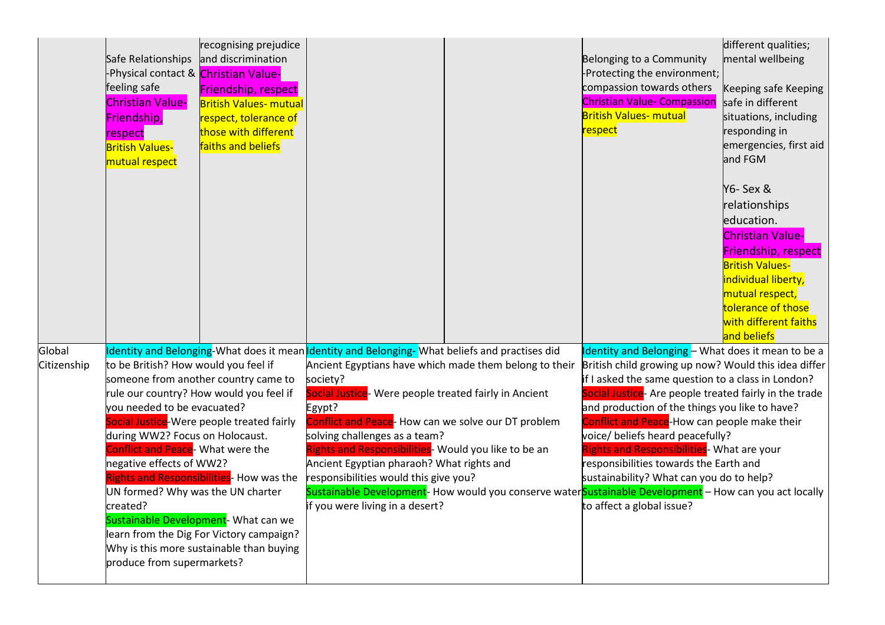|                       | Safe Relationships and discrimination<br>-Physical contact & Christian Value-<br>feeling safe<br><b>Christian Value-</b><br>Friendship,<br>respect<br><b>British Values-</b><br>mutual respect                                                         | recognising prejudice<br><b>Friendship, respect</b><br><b>British Values- mutual</b><br>respect, tolerance of<br>those with different<br>faiths and beliefs                                                                                                                                              |                                                                                                                                                                                                                                                                                                                                                                                                                                                                                                                  | Belonging to a Community<br>-Protecting the environment;<br>compassion towards others<br><b>Christian Value- Compassion</b><br><b>British Values- mutual</b><br><mark>respect</mark>                                                                                                                                                                                                                                                                                                                                                                                                                                                        | different qualities;<br>mental wellbeing<br>Keeping safe Keeping<br>safe in different<br>situations, including<br>responding in<br>emergencies, first aid<br>and FGM                                                         |
|-----------------------|--------------------------------------------------------------------------------------------------------------------------------------------------------------------------------------------------------------------------------------------------------|----------------------------------------------------------------------------------------------------------------------------------------------------------------------------------------------------------------------------------------------------------------------------------------------------------|------------------------------------------------------------------------------------------------------------------------------------------------------------------------------------------------------------------------------------------------------------------------------------------------------------------------------------------------------------------------------------------------------------------------------------------------------------------------------------------------------------------|---------------------------------------------------------------------------------------------------------------------------------------------------------------------------------------------------------------------------------------------------------------------------------------------------------------------------------------------------------------------------------------------------------------------------------------------------------------------------------------------------------------------------------------------------------------------------------------------------------------------------------------------|------------------------------------------------------------------------------------------------------------------------------------------------------------------------------------------------------------------------------|
|                       |                                                                                                                                                                                                                                                        |                                                                                                                                                                                                                                                                                                          |                                                                                                                                                                                                                                                                                                                                                                                                                                                                                                                  |                                                                                                                                                                                                                                                                                                                                                                                                                                                                                                                                                                                                                                             | Y6- Sex &<br>relationships<br>education.<br><b>Christian Value-</b><br>Friendship, respect<br><b>British Values-</b><br>individual liberty,<br>mutual respect,<br>tolerance of those<br>with different faiths<br>and beliefs |
| Global<br>Citizenship | to be British? How would you feel if<br>you needed to be evacuated?<br>during WW2? Focus on Holocaust.<br>Conflict and Peace- What were the<br>negative effects of WW2?<br>UN formed? Why was the UN charter<br>created?<br>produce from supermarkets? | someone from another country came to<br>rule our country? How would you feel if<br>Social Justice-Were people treated fairly<br>Rights and Responsibilities- How was the<br>Sustainable Development- What can we<br>learn from the Dig For Victory campaign?<br>Why is this more sustainable than buying | Identity and Belonging-What does it mean Identity and Belonging-What beliefs and practises did<br>Ancient Egyptians have which made them belong to their<br>society?<br>Social Justice- Were people treated fairly in Ancient<br>Egypt?<br>Conflict and Peace- How can we solve our DT problem<br>solving challenges as a team?<br>Rights and Responsibilities- Would you like to be an<br>Ancient Egyptian pharaoh? What rights and<br>responsibilities would this give you?<br>if you were living in a desert? | Identity and Belonging - What does it mean to be a<br>British child growing up now? Would this idea differ<br>if I asked the same question to a class in London?<br>Social Justice- Are people treated fairly in the trade<br>and production of the things you like to have?<br>Conflict and Peace-How can people make their<br>voice/ beliefs heard peacefully?<br>Rights and Responsibilities- What are your<br>responsibilities towards the Earth and<br>sustainability? What can you do to help?<br>Sustainable Development- How would you conserve waterSustainable Development - How can you act locally<br>to affect a global issue? |                                                                                                                                                                                                                              |